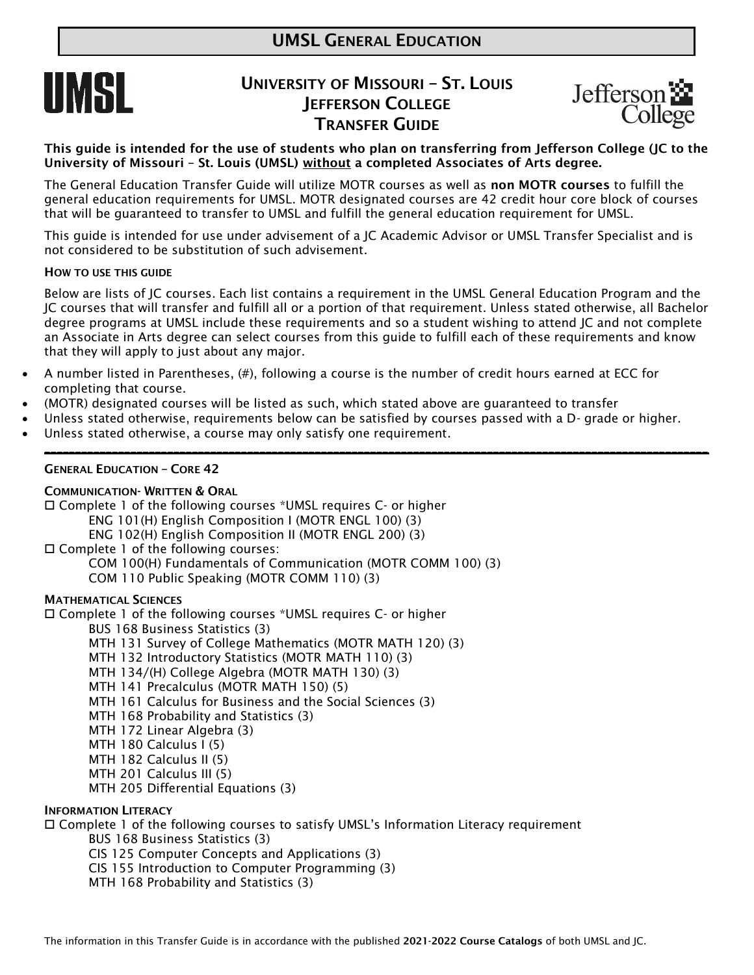

# UNIVERSITY OF MISSOURI – ST. LOUIS **IEFFERSON COLLEGE** TRANSFER GUIDE



This guide is intended for the use of students who plan on transferring from Jefferson College (JC to the University of Missouri – St. Louis (UMSL) without a completed Associates of Arts degree.

The General Education Transfer Guide will utilize MOTR courses as well as non MOTR courses to fulfill the general education requirements for UMSL. MOTR designated courses are 42 credit hour core block of courses that will be guaranteed to transfer to UMSL and fulfill the general education requirement for UMSL.

This guide is intended for use under advisement of a JC Academic Advisor or UMSL Transfer Specialist and is not considered to be substitution of such advisement.

#### HOW TO USE THIS GUIDE

Below are lists of JC courses. Each list contains a requirement in the UMSL General Education Program and the JC courses that will transfer and fulfill all or a portion of that requirement. Unless stated otherwise, all Bachelor degree programs at UMSL include these requirements and so a student wishing to attend JC and not complete an Associate in Arts degree can select courses from this guide to fulfill each of these requirements and know that they will apply to just about any major.

\_\_\_\_\_\_\_\_\_\_\_\_\_\_\_\_\_\_\_\_\_\_\_\_\_\_\_\_\_\_\_\_\_\_\_\_\_\_\_\_\_\_\_\_\_\_\_\_\_\_\_\_\_\_\_\_\_\_\_\_\_\_\_\_\_\_\_\_\_\_\_\_\_\_\_\_\_\_\_\_\_\_\_\_\_\_\_\_\_\_\_\_\_\_\_\_\_\_\_\_\_\_\_\_\_\_\_\_

- A number listed in Parentheses, (#), following a course is the number of credit hours earned at ECC for completing that course.
- (MOTR) designated courses will be listed as such, which stated above are guaranteed to transfer
- Unless stated otherwise, requirements below can be satisfied by courses passed with a D- grade or higher.
- Unless stated otherwise, a course may only satisfy one requirement.

#### GENERAL EDUCATION – CORE 42

#### COMMUNICATION- WRITTEN & ORAL

 Complete 1 of the following courses \*UMSL requires C- or higher ENG 101(H) English Composition I (MOTR ENGL 100) (3) ENG 102(H) English Composition II (MOTR ENGL 200) (3) □ Complete 1 of the following courses: COM 100(H) Fundamentals of Communication (MOTR COMM 100) (3) COM 110 Public Speaking (MOTR COMM 110) (3) MATHEMATICAL SCIENCES Complete 1 of the following courses \*UMSL requires C- or higher BUS 168 Business Statistics (3) MTH 131 Survey of College Mathematics (MOTR MATH 120) (3)

- MTH 132 Introductory Statistics (MOTR MATH 110) (3)
- MTH 134/(H) College Algebra (MOTR MATH 130) (3)
- MTH 141 Precalculus (MOTR MATH 150) (5)
- MTH 161 Calculus for Business and the Social Sciences (3)
- MTH 168 Probability and Statistics (3)
- MTH 172 Linear Algebra (3)
- MTH 180 Calculus I (5)
- MTH 182 Calculus II (5)
- MTH 201 Calculus III (5)
- MTH 205 Differential Equations (3)

### INFORMATION LITERACY

 $\Box$  Complete 1 of the following courses to satisfy UMSL's Information Literacy requirement BUS 168 Business Statistics (3)

CIS 125 Computer Concepts and Applications (3)

- CIS 155 Introduction to Computer Programming (3)
- MTH 168 Probability and Statistics (3)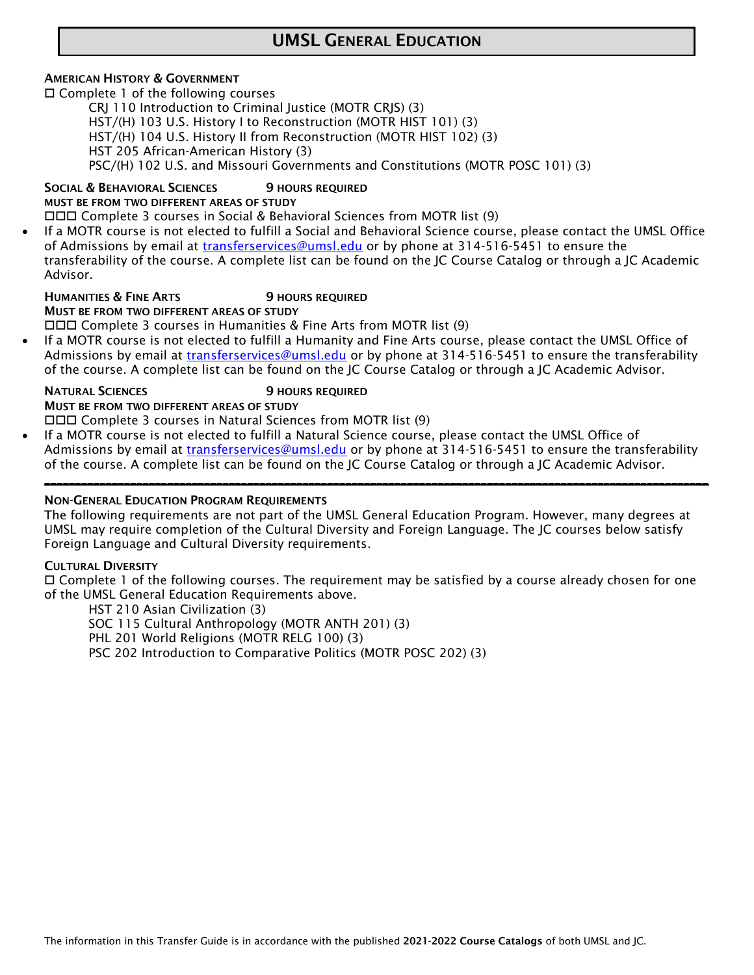# UMSL GENERAL EDUCATION

### AMERICAN HISTORY & GOVERNMENT

□ Complete 1 of the following courses

CRJ 110 Introduction to Criminal Justice (MOTR CRJS) (3) HST/(H) 103 U.S. History I to Reconstruction (MOTR HIST 101) (3)

HST/(H) 104 U.S. History II from Reconstruction (MOTR HIST 102) (3)

HST 205 African-American History (3)

PSC/(H) 102 U.S. and Missouri Governments and Constitutions (MOTR POSC 101) (3)

## SOCIAL & BEHAVIORAL SCIENCES 9 HOURS REQUIRED

MUST BE FROM TWO DIFFERENT AREAS OF STUDY

Complete 3 courses in Social & Behavioral Sciences from MOTR list (9)

 If a MOTR course is not elected to fulfill a Social and Behavioral Science course, please contact the UMSL Office of Admissions by email at [transferservices@umsl.edu](mailto:transferservices@umsl.edu) or by phone at 314-516-5451 to ensure the transferability of the course. A complete list can be found on the JC Course Catalog or through a JC Academic Advisor.

#### **HUMANITIES & FINE ARTS** 9 HOURS REQUIRED

MUST BE FROM TWO DIFFERENT AREAS OF STUDY

Complete 3 courses in Humanities & Fine Arts from MOTR list (9)

 If a MOTR course is not elected to fulfill a Humanity and Fine Arts course, please contact the UMSL Office of Admissions by email at *transferservices@umsl.edu* or by phone at 314-516-5451 to ensure the transferability of the course. A complete list can be found on the JC Course Catalog or through a JC Academic Advisor.

NATURAL SCIENCES 9 HOURS REQUIRED

MUST BE FROM TWO DIFFERENT AREAS OF STUDY Complete 3 courses in Natural Sciences from MOTR list (9)

 If a MOTR course is not elected to fulfill a Natural Science course, please contact the UMSL Office of Admissions by email at [transferservices@umsl.edu](mailto:transferservices@umsl.edu) or by phone at 314-516-5451 to ensure the transferability of the course. A complete list can be found on the JC Course Catalog or through a JC Academic Advisor.

## NON-GENERAL EDUCATION PROGRAM REQUIREMENTS

The following requirements are not part of the UMSL General Education Program. However, many degrees at UMSL may require completion of the Cultural Diversity and Foreign Language. The JC courses below satisfy Foreign Language and Cultural Diversity requirements.

\_\_\_\_\_\_\_\_\_\_\_\_\_\_\_\_\_\_\_\_\_\_\_\_\_\_\_\_\_\_\_\_\_\_\_\_\_\_\_\_\_\_\_\_\_\_\_\_\_\_\_\_\_\_\_\_\_\_\_\_\_\_\_\_\_\_\_\_\_\_\_\_\_\_\_\_\_\_\_\_\_\_\_\_\_\_\_\_\_\_\_\_\_\_\_\_\_\_\_\_\_\_\_\_\_\_\_\_

### CULTURAL DIVERSITY

 $\Box$  Complete 1 of the following courses. The requirement may be satisfied by a course already chosen for one of the UMSL General Education Requirements above.

HST 210 Asian Civilization (3) SOC 115 Cultural Anthropology (MOTR ANTH 201) (3) PHL 201 World Religions (MOTR RELG 100) (3) PSC 202 Introduction to Comparative Politics (MOTR POSC 202) (3)